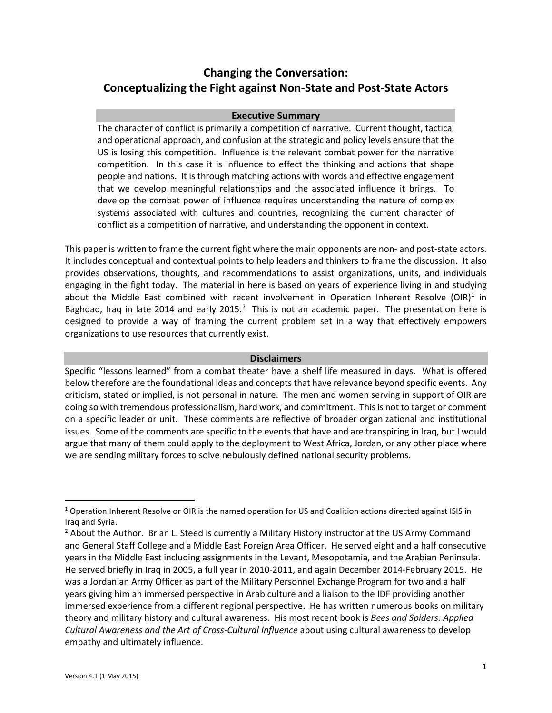# **Changing the Conversation: Conceptualizing the Fight against Non-State and Post-State Actors**

## **Executive Summary**

The character of conflict is primarily a competition of narrative. Current thought, tactical and operational approach, and confusion at the strategic and policy levels ensure that the US is losing this competition. Influence is the relevant combat power for the narrative competition. In this case it is influence to effect the thinking and actions that shape people and nations. It is through matching actions with words and effective engagement that we develop meaningful relationships and the associated influence it brings. To develop the combat power of influence requires understanding the nature of complex systems associated with cultures and countries, recognizing the current character of conflict as a competition of narrative, and understanding the opponent in context.

This paper is written to frame the current fight where the main opponents are non- and post-state actors. It includes conceptual and contextual points to help leaders and thinkers to frame the discussion. It also provides observations, thoughts, and recommendations to assist organizations, units, and individuals engaging in the fight today. The material in here is based on years of experience living in and studying about the Middle East combined with recent involvement in Operation Inherent Resolve (OIR)<sup>[1](#page-0-0)</sup> in Baghdad, Iraq in late [2](#page-0-1)014 and early 2015. $^2$  This is not an academic paper. The presentation here is designed to provide a way of framing the current problem set in a way that effectively empowers organizations to use resources that currently exist.

## **Disclaimers**

Specific "lessons learned" from a combat theater have a shelf life measured in days. What is offered below therefore are the foundational ideas and concepts that have relevance beyond specific events. Any criticism, stated or implied, is not personal in nature. The men and women serving in support of OIR are doing so with tremendous professionalism, hard work, and commitment. This is not to target or comment on a specific leader or unit. These comments are reflective of broader organizational and institutional issues. Some of the comments are specific to the events that have and are transpiring in Iraq, but I would argue that many of them could apply to the deployment to West Africa, Jordan, or any other place where we are sending military forces to solve nebulously defined national security problems.

<span id="page-0-0"></span><sup>&</sup>lt;sup>1</sup> Operation Inherent Resolve or OIR is the named operation for US and Coalition actions directed against ISIS in Iraq and Syria.

<span id="page-0-1"></span><sup>&</sup>lt;sup>2</sup> About the Author. Brian L. Steed is currently a Military History instructor at the US Army Command and General Staff College and a Middle East Foreign Area Officer. He served eight and a half consecutive years in the Middle East including assignments in the Levant, Mesopotamia, and the Arabian Peninsula. He served briefly in Iraq in 2005, a full year in 2010-2011, and again December 2014-February 2015. He was a Jordanian Army Officer as part of the Military Personnel Exchange Program for two and a half years giving him an immersed perspective in Arab culture and a liaison to the IDF providing another immersed experience from a different regional perspective. He has written numerous books on military theory and military history and cultural awareness. His most recent book is *Bees and Spiders: Applied Cultural Awareness and the Art of Cross-Cultural Influence* about using cultural awareness to develop empathy and ultimately influence.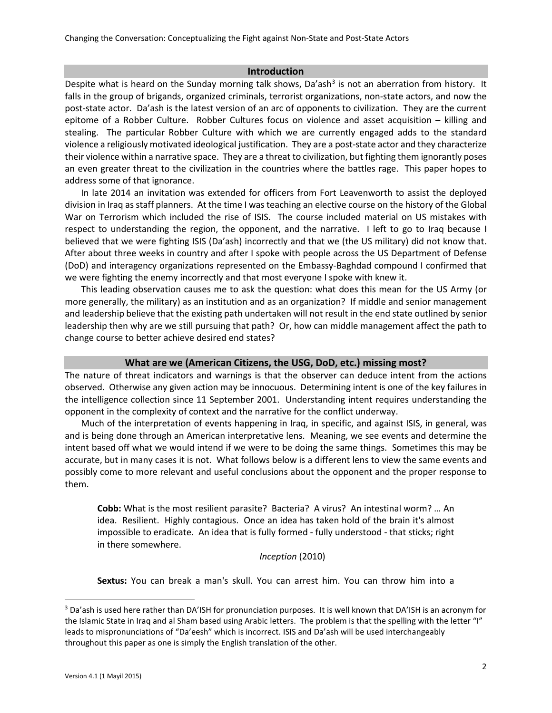## **Introduction**

Despite what is heard on the Sunday morning talk shows, Da'ash $3$  is not an aberration from history. It falls in the group of brigands, organized criminals, terrorist organizations, non-state actors, and now the post-state actor. Da'ash is the latest version of an arc of opponents to civilization. They are the current epitome of a Robber Culture. Robber Cultures focus on violence and asset acquisition – killing and stealing. The particular Robber Culture with which we are currently engaged adds to the standard violence a religiously motivated ideological justification. They are a post-state actor and they characterize their violence within a narrative space. They are a threat to civilization, but fighting them ignorantly poses an even greater threat to the civilization in the countries where the battles rage. This paper hopes to address some of that ignorance.

In late 2014 an invitation was extended for officers from Fort Leavenworth to assist the deployed division in Iraq as staff planners. At the time I was teaching an elective course on the history of the Global War on Terrorism which included the rise of ISIS. The course included material on US mistakes with respect to understanding the region, the opponent, and the narrative. I left to go to Iraq because I believed that we were fighting ISIS (Da'ash) incorrectly and that we (the US military) did not know that. After about three weeks in country and after I spoke with people across the US Department of Defense (DoD) and interagency organizations represented on the Embassy-Baghdad compound I confirmed that we were fighting the enemy incorrectly and that most everyone I spoke with knew it.

This leading observation causes me to ask the question: what does this mean for the US Army (or more generally, the military) as an institution and as an organization? If middle and senior management and leadership believe that the existing path undertaken will not result in the end state outlined by senior leadership then why are we still pursuing that path? Or, how can middle management affect the path to change course to better achieve desired end states?

## **What are we (American Citizens, the USG, DoD, etc.) missing most?**

The nature of threat indicators and warnings is that the observer can deduce intent from the actions observed. Otherwise any given action may be innocuous. Determining intent is one of the key failures in the intelligence collection since 11 September 2001. Understanding intent requires understanding the opponent in the complexity of context and the narrative for the conflict underway.

Much of the interpretation of events happening in Iraq, in specific, and against ISIS, in general, was and is being done through an American interpretative lens. Meaning, we see events and determine the intent based off what we would intend if we were to be doing the same things. Sometimes this may be accurate, but in many cases it is not. What follows below is a different lens to view the same events and possibly come to more relevant and useful conclusions about the opponent and the proper response to them.

**Cobb:** What is the most resilient parasite? Bacteria? A virus? An intestinal worm? … An idea. Resilient. Highly contagious. Once an idea has taken hold of the brain it's almost impossible to eradicate. An idea that is fully formed - fully understood - that sticks; right in there somewhere.

# *Inception* (2010)

**Sextus:** You can break a man's skull. You can arrest him. You can throw him into a

<span id="page-1-0"></span><sup>3</sup> Da'ash is used here rather than DA'ISH for pronunciation purposes. It is well known that DA'ISH is an acronym for the Islamic State in Iraq and al Sham based using Arabic letters. The problem is that the spelling with the letter "I" leads to mispronunciations of "Da'eesh" which is incorrect. ISIS and Da'ash will be used interchangeably throughout this paper as one is simply the English translation of the other.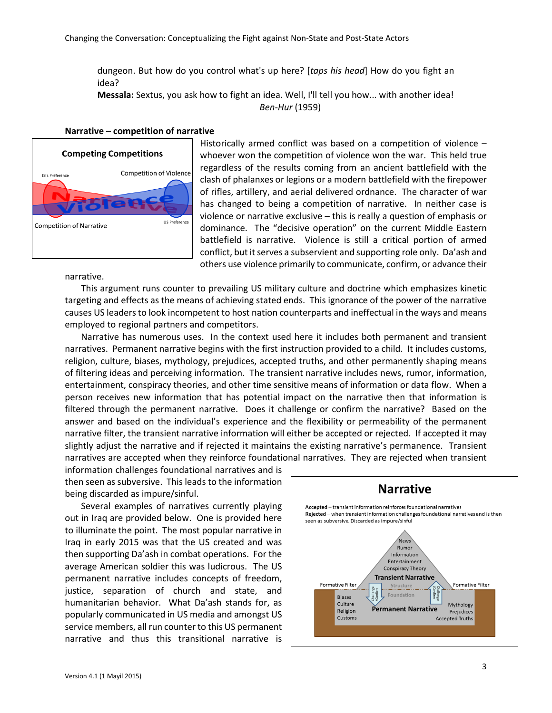dungeon. But how do you control what's up here? [*taps his head*] How do you fight an idea?

**Messala:** Sextus, you ask how to fight an idea. Well, I'll tell you how... with another idea! *Ben-Hur* (1959)

#### **Narrative – competition of narrative**



Historically armed conflict was based on a competition of violence – whoever won the competition of violence won the war. This held true regardless of the results coming from an ancient battlefield with the clash of phalanxes or legions or a modern battlefield with the firepower of rifles, artillery, and aerial delivered ordnance. The character of war has changed to being a competition of narrative. In neither case is violence or narrative exclusive – this is really a question of emphasis or dominance. The "decisive operation" on the current Middle Eastern battlefield is narrative. Violence is still a critical portion of armed conflict, but it serves a subservient and supporting role only. Da'ash and others use violence primarily to communicate, confirm, or advance their

narrative.

This argument runs counter to prevailing US military culture and doctrine which emphasizes kinetic targeting and effects as the means of achieving stated ends. This ignorance of the power of the narrative causes US leaders to look incompetent to host nation counterparts and ineffectual in the ways and means employed to regional partners and competitors.

Narrative has numerous uses. In the context used here it includes both permanent and transient narratives. Permanent narrative begins with the first instruction provided to a child. It includes customs, religion, culture, biases, mythology, prejudices, accepted truths, and other permanently shaping means of filtering ideas and perceiving information. The transient narrative includes news, rumor, information, entertainment, conspiracy theories, and other time sensitive means of information or data flow. When a person receives new information that has potential impact on the narrative then that information is filtered through the permanent narrative. Does it challenge or confirm the narrative? Based on the answer and based on the individual's experience and the flexibility or permeability of the permanent narrative filter, the transient narrative information will either be accepted or rejected. If accepted it may slightly adjust the narrative and if rejected it maintains the existing narrative's permanence. Transient narratives are accepted when they reinforce foundational narratives. They are rejected when transient

information challenges foundational narratives and is then seen as subversive. This leads to the information being discarded as impure/sinful.

Several examples of narratives currently playing out in Iraq are provided below. One is provided here to illuminate the point. The most popular narrative in Iraq in early 2015 was that the US created and was then supporting Da'ash in combat operations. For the average American soldier this was ludicrous. The US permanent narrative includes concepts of freedom, justice, separation of church and state, and humanitarian behavior. What Da'ash stands for, as popularly communicated in US media and amongst US service members, all run counter to this US permanent narrative and thus this transitional narrative is

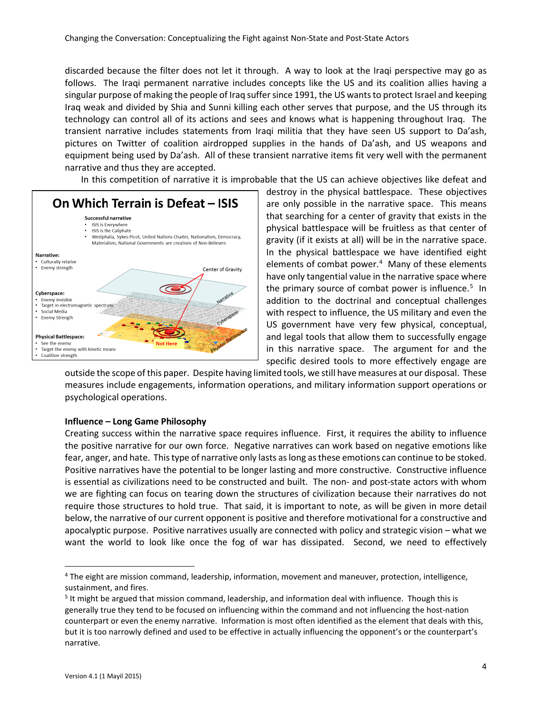discarded because the filter does not let it through. A way to look at the Iraqi perspective may go as follows. The Iraqi permanent narrative includes concepts like the US and its coalition allies having a singular purpose of making the people of Iraq suffer since 1991, the US wants to protect Israel and keeping Iraq weak and divided by Shia and Sunni killing each other serves that purpose, and the US through its technology can control all of its actions and sees and knows what is happening throughout Iraq. The transient narrative includes statements from Iraqi militia that they have seen US support to Da'ash, pictures on Twitter of coalition airdropped supplies in the hands of Da'ash, and US weapons and equipment being used by Da'ash. All of these transient narrative items fit very well with the permanent narrative and thus they are accepted.

In this competition of narrative it is improbable that the US can achieve objectives like defeat and



destroy in the physical battlespace. These objectives are only possible in the narrative space. This means that searching for a center of gravity that exists in the physical battlespace will be fruitless as that center of gravity (if it exists at all) will be in the narrative space. In the physical battlespace we have identified eight elements of combat power.<sup>[4](#page-3-0)</sup> Many of these elements have only tangential value in the narrative space where the primary source of combat power is influence.<sup>[5](#page-3-1)</sup> In addition to the doctrinal and conceptual challenges with respect to influence, the US military and even the US government have very few physical, conceptual, and legal tools that allow them to successfully engage in this narrative space. The argument for and the specific desired tools to more effectively engage are

outside the scope of this paper. Despite having limited tools, we still have measures at our disposal. These measures include engagements, information operations, and military information support operations or psychological operations.

## **Influence – Long Game Philosophy**

Creating success within the narrative space requires influence. First, it requires the ability to influence the positive narrative for our own force. Negative narratives can work based on negative emotions like fear, anger, and hate. This type of narrative only lasts as long as these emotions can continue to be stoked. Positive narratives have the potential to be longer lasting and more constructive. Constructive influence is essential as civilizations need to be constructed and built. The non- and post-state actors with whom we are fighting can focus on tearing down the structures of civilization because their narratives do not require those structures to hold true. That said, it is important to note, as will be given in more detail below, the narrative of our current opponent is positive and therefore motivational for a constructive and apocalyptic purpose. Positive narratives usually are connected with policy and strategic vision – what we want the world to look like once the fog of war has dissipated. Second, we need to effectively

<span id="page-3-0"></span><sup>4</sup> The eight are mission command, leadership, information, movement and maneuver, protection, intelligence, sustainment, and fires.

<span id="page-3-1"></span><sup>&</sup>lt;sup>5</sup> It might be argued that mission command, leadership, and information deal with influence. Though this is generally true they tend to be focused on influencing within the command and not influencing the host-nation counterpart or even the enemy narrative. Information is most often identified as the element that deals with this, but it is too narrowly defined and used to be effective in actually influencing the opponent's or the counterpart's narrative.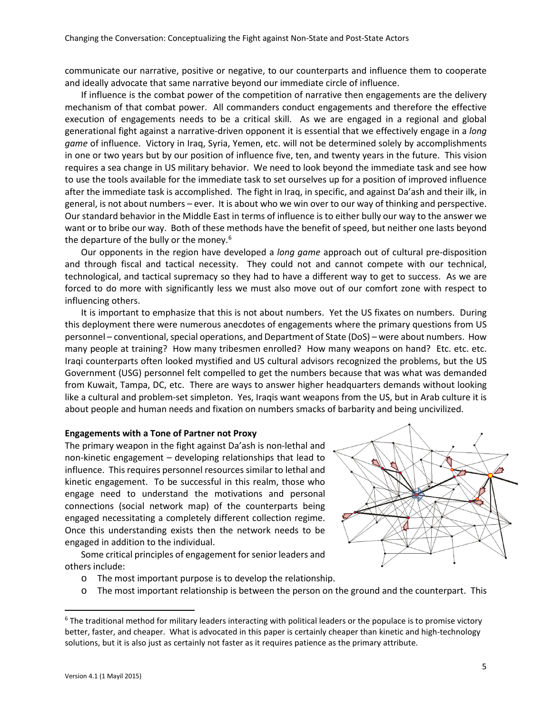communicate our narrative, positive or negative, to our counterparts and influence them to cooperate and ideally advocate that same narrative beyond our immediate circle of influence.

If influence is the combat power of the competition of narrative then engagements are the delivery mechanism of that combat power. All commanders conduct engagements and therefore the effective execution of engagements needs to be a critical skill. As we are engaged in a regional and global generational fight against a narrative-driven opponent it is essential that we effectively engage in a *long game* of influence. Victory in Iraq, Syria, Yemen, etc. will not be determined solely by accomplishments in one or two years but by our position of influence five, ten, and twenty years in the future. This vision requires a sea change in US military behavior. We need to look beyond the immediate task and see how to use the tools available for the immediate task to set ourselves up for a position of improved influence after the immediate task is accomplished. The fight in Iraq, in specific, and against Da'ash and their ilk, in general, is not about numbers – ever. It is about who we win over to our way of thinking and perspective. Our standard behavior in the Middle East in terms of influence is to either bully our way to the answer we want or to bribe our way. Both of these methods have the benefit of speed, but neither one lasts beyond the departure of the bully or the money. $6$ 

Our opponents in the region have developed a *long game* approach out of cultural pre-disposition and through fiscal and tactical necessity. They could not and cannot compete with our technical, technological, and tactical supremacy so they had to have a different way to get to success. As we are forced to do more with significantly less we must also move out of our comfort zone with respect to influencing others.

It is important to emphasize that this is not about numbers. Yet the US fixates on numbers. During this deployment there were numerous anecdotes of engagements where the primary questions from US personnel – conventional, special operations, and Department of State (DoS) – were about numbers. How many people at training? How many tribesmen enrolled? How many weapons on hand? Etc. etc. etc. Iraqi counterparts often looked mystified and US cultural advisors recognized the problems, but the US Government (USG) personnel felt compelled to get the numbers because that was what was demanded from Kuwait, Tampa, DC, etc. There are ways to answer higher headquarters demands without looking like a cultural and problem-set simpleton. Yes, Iraqis want weapons from the US, but in Arab culture it is about people and human needs and fixation on numbers smacks of barbarity and being uncivilized.

#### **Engagements with a Tone of Partner not Proxy**

The primary weapon in the fight against Da'ash is non-lethal and non-kinetic engagement – developing relationships that lead to influence. This requires personnel resources similar to lethal and kinetic engagement. To be successful in this realm, those who engage need to understand the motivations and personal connections (social network map) of the counterparts being engaged necessitating a completely different collection regime. Once this understanding exists then the network needs to be engaged in addition to the individual.

Some critical principles of engagement for senior leaders and others include:

- o The most important purpose is to develop the relationship.
- <span id="page-4-0"></span> $\circ$  The most important relationship is between the person on the ground and the counterpart. This

 $6$  The traditional method for military leaders interacting with political leaders or the populace is to promise victory better, faster, and cheaper. What is advocated in this paper is certainly cheaper than kinetic and high-technology solutions, but it is also just as certainly not faster as it requires patience as the primary attribute.

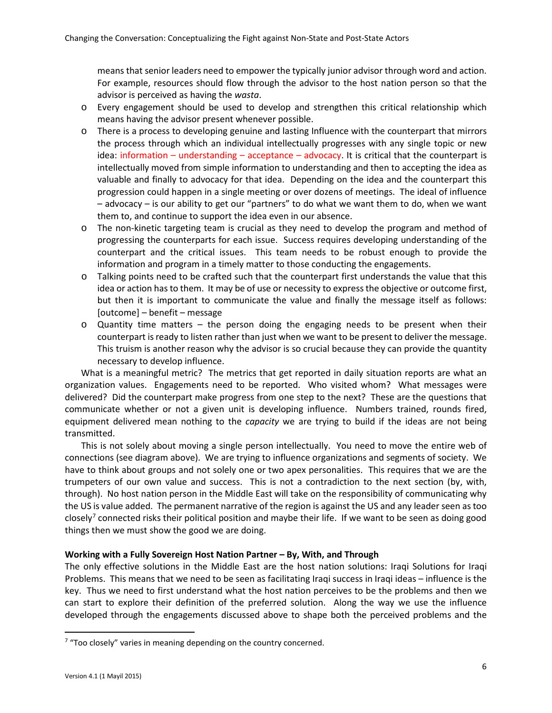means that senior leaders need to empower the typically junior advisor through word and action. For example, resources should flow through the advisor to the host nation person so that the advisor is perceived as having the *wasta*.

- o Every engagement should be used to develop and strengthen this critical relationship which means having the advisor present whenever possible.
- o There is a process to developing genuine and lasting Influence with the counterpart that mirrors the process through which an individual intellectually progresses with any single topic or new idea: information – understanding – acceptance – advocacy. It is critical that the counterpart is intellectually moved from simple information to understanding and then to accepting the idea as valuable and finally to advocacy for that idea. Depending on the idea and the counterpart this progression could happen in a single meeting or over dozens of meetings. The ideal of influence – advocacy – is our ability to get our "partners" to do what we want them to do, when we want them to, and continue to support the idea even in our absence.
- o The non-kinetic targeting team is crucial as they need to develop the program and method of progressing the counterparts for each issue. Success requires developing understanding of the counterpart and the critical issues. This team needs to be robust enough to provide the information and program in a timely matter to those conducting the engagements.
- o Talking points need to be crafted such that the counterpart first understands the value that this idea or action has to them. It may be of use or necessity to express the objective or outcome first, but then it is important to communicate the value and finally the message itself as follows: [outcome] – benefit – message
- $\circ$  Quantity time matters the person doing the engaging needs to be present when their counterpart is ready to listen rather than just when we want to be present to deliver the message. This truism is another reason why the advisor is so crucial because they can provide the quantity necessary to develop influence.

What is a meaningful metric? The metrics that get reported in daily situation reports are what an organization values. Engagements need to be reported. Who visited whom? What messages were delivered? Did the counterpart make progress from one step to the next? These are the questions that communicate whether or not a given unit is developing influence. Numbers trained, rounds fired, equipment delivered mean nothing to the *capacity* we are trying to build if the ideas are not being transmitted.

This is not solely about moving a single person intellectually. You need to move the entire web of connections (see diagram above). We are trying to influence organizations and segments of society. We have to think about groups and not solely one or two apex personalities. This requires that we are the trumpeters of our own value and success. This is not a contradiction to the next section (by, with, through). No host nation person in the Middle East will take on the responsibility of communicating why the US is value added. The permanent narrative of the region is against the US and any leader seen as too closely<sup>[7](#page-5-0)</sup> connected risks their political position and maybe their life. If we want to be seen as doing good things then we must show the good we are doing.

## **Working with a Fully Sovereign Host Nation Partner – By, With, and Through**

The only effective solutions in the Middle East are the host nation solutions: Iraqi Solutions for Iraqi Problems. This means that we need to be seen as facilitating Iraqi success in Iraqi ideas – influence is the key. Thus we need to first understand what the host nation perceives to be the problems and then we can start to explore their definition of the preferred solution. Along the way we use the influence developed through the engagements discussed above to shape both the perceived problems and the

<span id="page-5-0"></span> $7$  "Too closely" varies in meaning depending on the country concerned.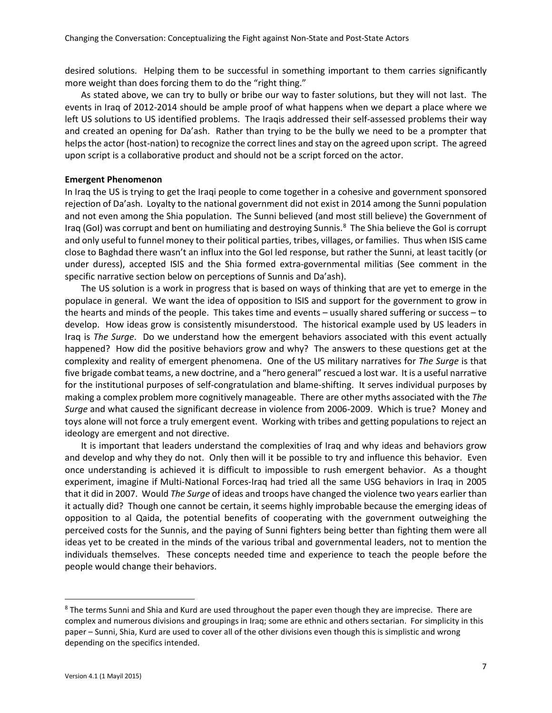desired solutions. Helping them to be successful in something important to them carries significantly more weight than does forcing them to do the "right thing."

As stated above, we can try to bully or bribe our way to faster solutions, but they will not last. The events in Iraq of 2012-2014 should be ample proof of what happens when we depart a place where we left US solutions to US identified problems. The Iraqis addressed their self-assessed problems their way and created an opening for Da'ash. Rather than trying to be the bully we need to be a prompter that helps the actor (host-nation) to recognize the correct lines and stay on the agreed upon script. The agreed upon script is a collaborative product and should not be a script forced on the actor.

#### **Emergent Phenomenon**

In Iraq the US is trying to get the Iraqi people to come together in a cohesive and government sponsored rejection of Da'ash. Loyalty to the national government did not exist in 2014 among the Sunni population and not even among the Shia population. The Sunni believed (and most still believe) the Government of Iraq (GoI) was corrupt and bent on humiliating and destroying Sunnis.<sup>[8](#page-6-0)</sup> The Shia believe the GoI is corrupt and only useful to funnel money to their political parties, tribes, villages, or families. Thus when ISIS came close to Baghdad there wasn't an influx into the GoI led response, but rather the Sunni, at least tacitly (or under duress), accepted ISIS and the Shia formed extra-governmental militias (See comment in the specific narrative section below on perceptions of Sunnis and Da'ash).

The US solution is a work in progress that is based on ways of thinking that are yet to emerge in the populace in general. We want the idea of opposition to ISIS and support for the government to grow in the hearts and minds of the people. This takes time and events – usually shared suffering or success – to develop. How ideas grow is consistently misunderstood. The historical example used by US leaders in Iraq is *The Surge*. Do we understand how the emergent behaviors associated with this event actually happened? How did the positive behaviors grow and why? The answers to these questions get at the complexity and reality of emergent phenomena. One of the US military narratives for *The Surge* is that five brigade combat teams, a new doctrine, and a "hero general" rescued a lost war. It is a useful narrative for the institutional purposes of self-congratulation and blame-shifting. It serves individual purposes by making a complex problem more cognitively manageable. There are other myths associated with the *The Surge* and what caused the significant decrease in violence from 2006-2009. Which is true? Money and toys alone will not force a truly emergent event. Working with tribes and getting populations to reject an ideology are emergent and not directive.

It is important that leaders understand the complexities of Iraq and why ideas and behaviors grow and develop and why they do not. Only then will it be possible to try and influence this behavior. Even once understanding is achieved it is difficult to impossible to rush emergent behavior. As a thought experiment, imagine if Multi-National Forces-Iraq had tried all the same USG behaviors in Iraq in 2005 that it did in 2007. Would *The Surge* of ideas and troops have changed the violence two years earlier than it actually did? Though one cannot be certain, it seems highly improbable because the emerging ideas of opposition to al Qaida, the potential benefits of cooperating with the government outweighing the perceived costs for the Sunnis, and the paying of Sunni fighters being better than fighting them were all ideas yet to be created in the minds of the various tribal and governmental leaders, not to mention the individuals themselves. These concepts needed time and experience to teach the people before the people would change their behaviors.

<span id="page-6-0"></span><sup>&</sup>lt;sup>8</sup> The terms Sunni and Shia and Kurd are used throughout the paper even though they are imprecise. There are complex and numerous divisions and groupings in Iraq; some are ethnic and others sectarian. For simplicity in this paper – Sunni, Shia, Kurd are used to cover all of the other divisions even though this is simplistic and wrong depending on the specifics intended.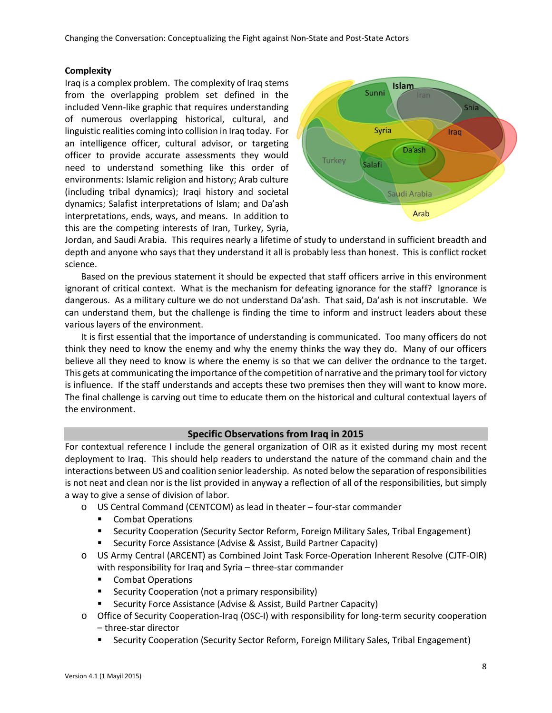Changing the Conversation: Conceptualizing the Fight against Non-State and Post-State Actors

## **Complexity**

Iraq is a complex problem. The complexity of Iraq stems from the overlapping problem set defined in the included Venn-like graphic that requires understanding of numerous overlapping historical, cultural, and linguistic realities coming into collision in Iraq today. For an intelligence officer, cultural advisor, or targeting officer to provide accurate assessments they would need to understand something like this order of environments: Islamic religion and history; Arab culture (including tribal dynamics); Iraqi history and societal dynamics; Salafist interpretations of Islam; and Da'ash interpretations, ends, ways, and means. In addition to this are the competing interests of Iran, Turkey, Syria,



Jordan, and Saudi Arabia. This requires nearly a lifetime of study to understand in sufficient breadth and depth and anyone who says that they understand it all is probably less than honest. This is conflict rocket science.

Based on the previous statement it should be expected that staff officers arrive in this environment ignorant of critical context. What is the mechanism for defeating ignorance for the staff? Ignorance is dangerous. As a military culture we do not understand Da'ash. That said, Da'ash is not inscrutable. We can understand them, but the challenge is finding the time to inform and instruct leaders about these various layers of the environment.

It is first essential that the importance of understanding is communicated. Too many officers do not think they need to know the enemy and why the enemy thinks the way they do. Many of our officers believe all they need to know is where the enemy is so that we can deliver the ordnance to the target. This gets at communicating the importance of the competition of narrative and the primary tool for victory is influence. If the staff understands and accepts these two premises then they will want to know more. The final challenge is carving out time to educate them on the historical and cultural contextual layers of the environment.

## **Specific Observations from Iraq in 2015**

For contextual reference I include the general organization of OIR as it existed during my most recent deployment to Iraq. This should help readers to understand the nature of the command chain and the interactions between US and coalition senior leadership. As noted below the separation of responsibilities is not neat and clean nor is the list provided in anyway a reflection of all of the responsibilities, but simply a way to give a sense of division of labor.

- o US Central Command (CENTCOM) as lead in theater four-star commander
	- **Combat Operations**
	- **Security Cooperation (Security Sector Reform, Foreign Military Sales, Tribal Engagement)**
	- Security Force Assistance (Advise & Assist, Build Partner Capacity)
- o US Army Central (ARCENT) as Combined Joint Task Force-Operation Inherent Resolve (CJTF-OIR) with responsibility for Iraq and Syria – three-star commander
	- **Combat Operations**
	- **EXECURITY Cooperation (not a primary responsibility)**
	- Security Force Assistance (Advise & Assist, Build Partner Capacity)
- o Office of Security Cooperation-Iraq (OSC-I) with responsibility for long-term security cooperation – three-star director
	- Security Cooperation (Security Sector Reform, Foreign Military Sales, Tribal Engagement)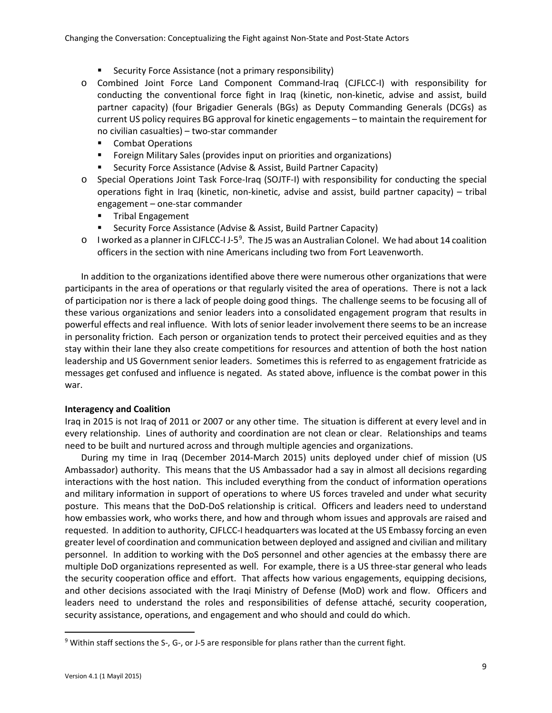- Security Force Assistance (not a primary responsibility)
- o Combined Joint Force Land Component Command-Iraq (CJFLCC-I) with responsibility for conducting the conventional force fight in Iraq (kinetic, non-kinetic, advise and assist, build partner capacity) (four Brigadier Generals (BGs) as Deputy Commanding Generals (DCGs) as current US policy requires BG approval for kinetic engagements – to maintain the requirement for no civilian casualties) – two-star commander
	- **Combat Operations**
	- Foreign Military Sales (provides input on priorities and organizations)
	- **Security Force Assistance (Advise & Assist, Build Partner Capacity)**
- o Special Operations Joint Task Force-Iraq (SOJTF-I) with responsibility for conducting the special operations fight in Iraq (kinetic, non-kinetic, advise and assist, build partner capacity) – tribal engagement – one-star commander
	- **Tribal Engagement**
	- Security Force Assistance (Advise & Assist, Build Partner Capacity)
- $\circ$  I worked as a planner in CJFLCC-I J-5<sup>[9](#page-8-0)</sup>. The J5 was an Australian Colonel. We had about 14 coalition officers in the section with nine Americans including two from Fort Leavenworth.

In addition to the organizations identified above there were numerous other organizations that were participants in the area of operations or that regularly visited the area of operations. There is not a lack of participation nor is there a lack of people doing good things. The challenge seems to be focusing all of these various organizations and senior leaders into a consolidated engagement program that results in powerful effects and real influence. With lots of senior leader involvement there seems to be an increase in personality friction. Each person or organization tends to protect their perceived equities and as they stay within their lane they also create competitions for resources and attention of both the host nation leadership and US Government senior leaders. Sometimes this is referred to as engagement fratricide as messages get confused and influence is negated. As stated above, influence is the combat power in this war.

## **Interagency and Coalition**

Iraq in 2015 is not Iraq of 2011 or 2007 or any other time. The situation is different at every level and in every relationship. Lines of authority and coordination are not clean or clear. Relationships and teams need to be built and nurtured across and through multiple agencies and organizations.

During my time in Iraq (December 2014-March 2015) units deployed under chief of mission (US Ambassador) authority. This means that the US Ambassador had a say in almost all decisions regarding interactions with the host nation. This included everything from the conduct of information operations and military information in support of operations to where US forces traveled and under what security posture. This means that the DoD-DoS relationship is critical. Officers and leaders need to understand how embassies work, who works there, and how and through whom issues and approvals are raised and requested. In addition to authority, CJFLCC-I headquarters was located at the US Embassy forcing an even greater level of coordination and communication between deployed and assigned and civilian and military personnel. In addition to working with the DoS personnel and other agencies at the embassy there are multiple DoD organizations represented as well. For example, there is a US three-star general who leads the security cooperation office and effort. That affects how various engagements, equipping decisions, and other decisions associated with the Iraqi Ministry of Defense (MoD) work and flow. Officers and leaders need to understand the roles and responsibilities of defense attaché, security cooperation, security assistance, operations, and engagement and who should and could do which.

<span id="page-8-0"></span><sup>&</sup>lt;sup>9</sup> Within staff sections the S-, G-, or J-5 are responsible for plans rather than the current fight.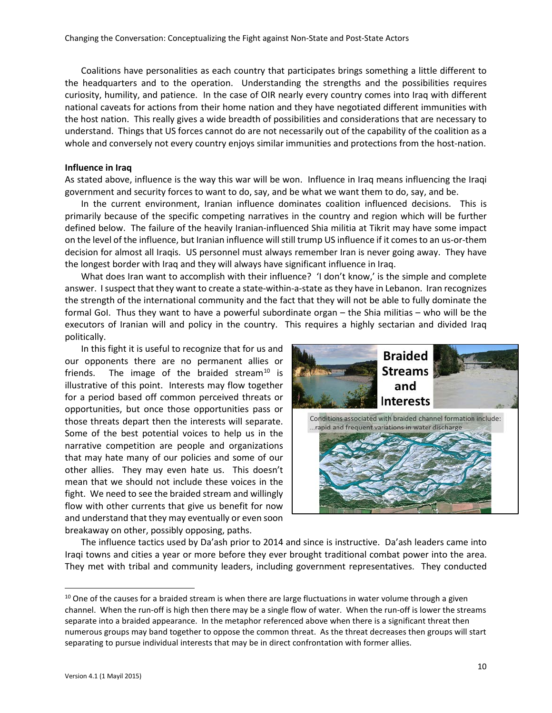Coalitions have personalities as each country that participates brings something a little different to the headquarters and to the operation. Understanding the strengths and the possibilities requires curiosity, humility, and patience. In the case of OIR nearly every country comes into Iraq with different national caveats for actions from their home nation and they have negotiated different immunities with the host nation. This really gives a wide breadth of possibilities and considerations that are necessary to understand. Things that US forces cannot do are not necessarily out of the capability of the coalition as a whole and conversely not every country enjoys similar immunities and protections from the host-nation.

#### **Influence in Iraq**

As stated above, influence is the way this war will be won. Influence in Iraq means influencing the Iraqi government and security forces to want to do, say, and be what we want them to do, say, and be.

In the current environment, Iranian influence dominates coalition influenced decisions. This is primarily because of the specific competing narratives in the country and region which will be further defined below. The failure of the heavily Iranian-influenced Shia militia at Tikrit may have some impact on the level of the influence, but Iranian influence will still trump US influence if it comes to an us-or-them decision for almost all Iraqis. US personnel must always remember Iran is never going away. They have the longest border with Iraq and they will always have significant influence in Iraq.

What does Iran want to accomplish with their influence? 'I don't know,' is the simple and complete answer. I suspect that they want to create a state-within-a-state as they have in Lebanon. Iran recognizes the strength of the international community and the fact that they will not be able to fully dominate the formal GoI. Thus they want to have a powerful subordinate organ – the Shia militias – who will be the executors of Iranian will and policy in the country. This requires a highly sectarian and divided Iraq politically.

In this fight it is useful to recognize that for us and our opponents there are no permanent allies or friends. The image of the braided stream<sup>[10](#page-9-0)</sup> is illustrative of this point. Interests may flow together for a period based off common perceived threats or opportunities, but once those opportunities pass or those threats depart then the interests will separate. Some of the best potential voices to help us in the narrative competition are people and organizations that may hate many of our policies and some of our other allies. They may even hate us. This doesn't mean that we should not include these voices in the fight. We need to see the braided stream and willingly flow with other currents that give us benefit for now and understand that they may eventually or even soon breakaway on other, possibly opposing, paths.



The influence tactics used by Da'ash prior to 2014 and since is instructive. Da'ash leaders came into Iraqi towns and cities a year or more before they ever brought traditional combat power into the area. They met with tribal and community leaders, including government representatives. They conducted

<span id="page-9-0"></span><sup>&</sup>lt;sup>10</sup> One of the causes for a braided stream is when there are large fluctuations in water volume through a given channel. When the run-off is high then there may be a single flow of water. When the run-off is lower the streams separate into a braided appearance. In the metaphor referenced above when there is a significant threat then numerous groups may band together to oppose the common threat. As the threat decreases then groups will start separating to pursue individual interests that may be in direct confrontation with former allies.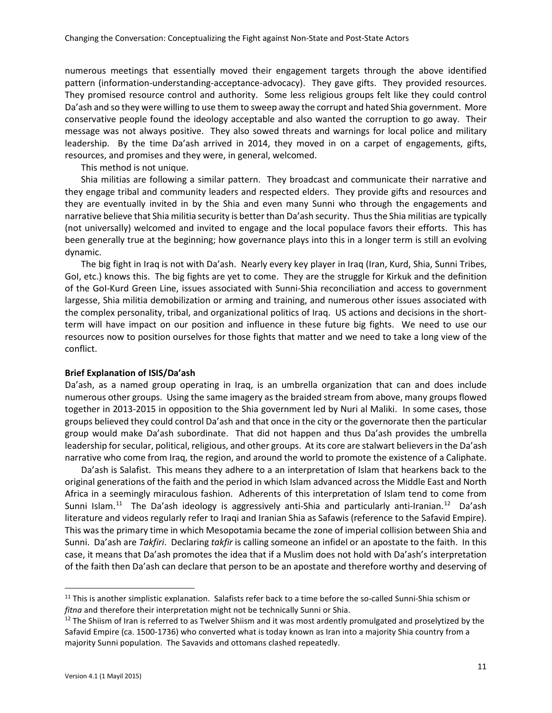numerous meetings that essentially moved their engagement targets through the above identified pattern (information-understanding-acceptance-advocacy). They gave gifts. They provided resources. They promised resource control and authority. Some less religious groups felt like they could control Da'ash and so they were willing to use them to sweep away the corrupt and hated Shia government. More conservative people found the ideology acceptable and also wanted the corruption to go away. Their message was not always positive. They also sowed threats and warnings for local police and military leadership. By the time Da'ash arrived in 2014, they moved in on a carpet of engagements, gifts, resources, and promises and they were, in general, welcomed.

This method is not unique.

Shia militias are following a similar pattern. They broadcast and communicate their narrative and they engage tribal and community leaders and respected elders. They provide gifts and resources and they are eventually invited in by the Shia and even many Sunni who through the engagements and narrative believe that Shia militia security is better than Da'ash security. Thus the Shia militias are typically (not universally) welcomed and invited to engage and the local populace favors their efforts. This has been generally true at the beginning; how governance plays into this in a longer term is still an evolving dynamic.

The big fight in Iraq is not with Da'ash. Nearly every key player in Iraq (Iran, Kurd, Shia, Sunni Tribes, GoI, etc.) knows this. The big fights are yet to come. They are the struggle for Kirkuk and the definition of the GoI-Kurd Green Line, issues associated with Sunni-Shia reconciliation and access to government largesse, Shia militia demobilization or arming and training, and numerous other issues associated with the complex personality, tribal, and organizational politics of Iraq. US actions and decisions in the shortterm will have impact on our position and influence in these future big fights. We need to use our resources now to position ourselves for those fights that matter and we need to take a long view of the conflict.

#### **Brief Explanation of ISIS/Da'ash**

Da'ash, as a named group operating in Iraq, is an umbrella organization that can and does include numerous other groups. Using the same imagery as the braided stream from above, many groups flowed together in 2013-2015 in opposition to the Shia government led by Nuri al Maliki. In some cases, those groups believed they could control Da'ash and that once in the city or the governorate then the particular group would make Da'ash subordinate. That did not happen and thus Da'ash provides the umbrella leadership for secular, political, religious, and other groups. At its core are stalwart believers in the Da'ash narrative who come from Iraq, the region, and around the world to promote the existence of a Caliphate.

Da'ash is Salafist. This means they adhere to a an interpretation of Islam that hearkens back to the original generations of the faith and the period in which Islam advanced across the Middle East and North Africa in a seemingly miraculous fashion. Adherents of this interpretation of Islam tend to come from Sunni Islam.<sup>11</sup> The Da'ash ideology is aggressively anti-Shia and particularly anti-Iranian.<sup>12</sup> Da'ash literature and videos regularly refer to Iraqi and Iranian Shia as Safawis (reference to the Safavid Empire). This was the primary time in which Mesopotamia became the zone of imperial collision between Shia and Sunni. Da'ash are *Takfiri*. Declaring *takfir* is calling someone an infidel or an apostate to the faith. In this case, it means that Da'ash promotes the idea that if a Muslim does not hold with Da'ash's interpretation of the faith then Da'ash can declare that person to be an apostate and therefore worthy and deserving of

<span id="page-10-0"></span><sup>&</sup>lt;sup>11</sup> This is another simplistic explanation. Salafists refer back to a time before the so-called Sunni-Shia schism or *fitna* and therefore their interpretation might not be technically Sunni or Shia.

<span id="page-10-1"></span> $12$  The Shiism of Iran is referred to as Twelver Shiism and it was most ardently promulgated and proselytized by the Safavid Empire (ca. 1500-1736) who converted what is today known as Iran into a majority Shia country from a majority Sunni population. The Savavids and ottomans clashed repeatedly.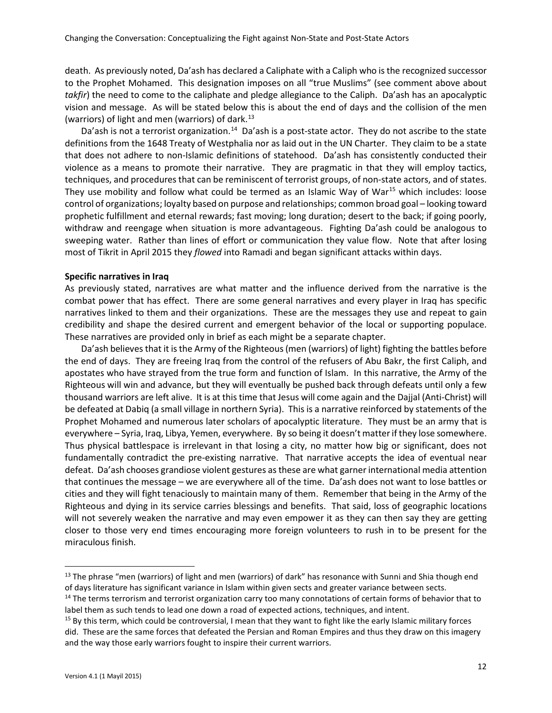death. As previously noted, Da'ash has declared a Caliphate with a Caliph who is the recognized successor to the Prophet Mohamed. This designation imposes on all "true Muslims" (see comment above about *takfir*) the need to come to the caliphate and pledge allegiance to the Caliph. Da'ash has an apocalyptic vision and message. As will be stated below this is about the end of days and the collision of the men (warriors) of light and men (warriors) of dark. $^{13}$  $^{13}$  $^{13}$ 

Da'ash is not a terrorist organization.<sup>[14](#page-11-1)</sup> Da'ash is a post-state actor. They do not ascribe to the state definitions from the 1648 Treaty of Westphalia nor as laid out in the UN Charter. They claim to be a state that does not adhere to non-Islamic definitions of statehood. Da'ash has consistently conducted their violence as a means to promote their narrative. They are pragmatic in that they will employ tactics, techniques, and procedures that can be reminiscent of terrorist groups, of non-state actors, and of states. They use mobility and follow what could be termed as an Islamic Way of War<sup>[15](#page-11-2)</sup> which includes: loose control of organizations; loyalty based on purpose and relationships; common broad goal – looking toward prophetic fulfillment and eternal rewards; fast moving; long duration; desert to the back; if going poorly, withdraw and reengage when situation is more advantageous. Fighting Da'ash could be analogous to sweeping water. Rather than lines of effort or communication they value flow. Note that after losing most of Tikrit in April 2015 they *flowed* into Ramadi and began significant attacks within days.

### **Specific narratives in Iraq**

As previously stated, narratives are what matter and the influence derived from the narrative is the combat power that has effect. There are some general narratives and every player in Iraq has specific narratives linked to them and their organizations. These are the messages they use and repeat to gain credibility and shape the desired current and emergent behavior of the local or supporting populace. These narratives are provided only in brief as each might be a separate chapter.

Da'ash believes that it is the Army of the Righteous (men (warriors) of light) fighting the battles before the end of days. They are freeing Iraq from the control of the refusers of Abu Bakr, the first Caliph, and apostates who have strayed from the true form and function of Islam. In this narrative, the Army of the Righteous will win and advance, but they will eventually be pushed back through defeats until only a few thousand warriors are left alive. It is at this time that Jesus will come again and the Dajjal (Anti-Christ) will be defeated at Dabiq (a small village in northern Syria). This is a narrative reinforced by statements of the Prophet Mohamed and numerous later scholars of apocalyptic literature. They must be an army that is everywhere – Syria, Iraq, Libya, Yemen, everywhere. By so being it doesn't matter if they lose somewhere. Thus physical battlespace is irrelevant in that losing a city, no matter how big or significant, does not fundamentally contradict the pre-existing narrative. That narrative accepts the idea of eventual near defeat. Da'ash chooses grandiose violent gestures as these are what garner international media attention that continues the message – we are everywhere all of the time. Da'ash does not want to lose battles or cities and they will fight tenaciously to maintain many of them. Remember that being in the Army of the Righteous and dying in its service carries blessings and benefits. That said, loss of geographic locations will not severely weaken the narrative and may even empower it as they can then say they are getting closer to those very end times encouraging more foreign volunteers to rush in to be present for the miraculous finish.

<span id="page-11-0"></span><sup>&</sup>lt;sup>13</sup> The phrase "men (warriors) of light and men (warriors) of dark" has resonance with Sunni and Shia though end of days literature has significant variance in Islam within given sects and greater variance between sects.

<span id="page-11-1"></span><sup>&</sup>lt;sup>14</sup> The terms terrorism and terrorist organization carry too many connotations of certain forms of behavior that to label them as such tends to lead one down a road of expected actions, techniques, and intent.

<span id="page-11-2"></span><sup>&</sup>lt;sup>15</sup> By this term, which could be controversial, I mean that they want to fight like the early Islamic military forces did. These are the same forces that defeated the Persian and Roman Empires and thus they draw on this imagery and the way those early warriors fought to inspire their current warriors.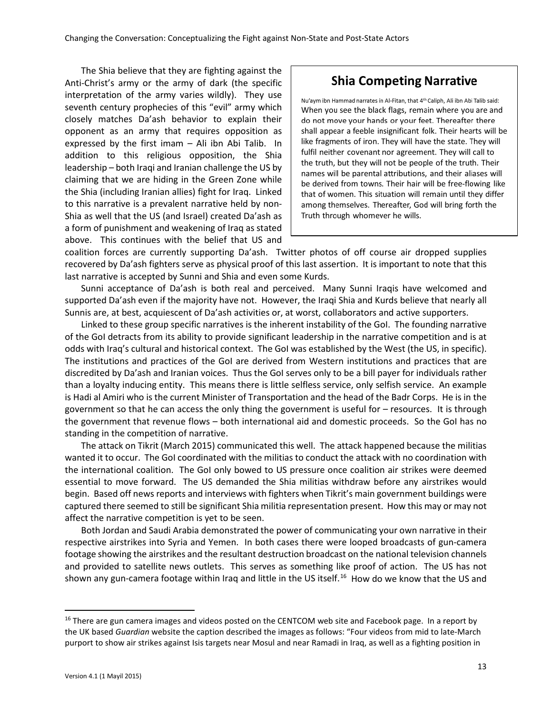The Shia believe that they are fighting against the Anti-Christ's army or the army of dark (the specific interpretation of the army varies wildly). They use seventh century prophecies of this "evil" army which closely matches Da'ash behavior to explain their opponent as an army that requires opposition as expressed by the first imam – Ali ibn Abi Talib. In addition to this religious opposition, the Shia leadership – both Iraqi and Iranian challenge the US by claiming that we are hiding in the Green Zone while the Shia (including Iranian allies) fight for Iraq. Linked to this narrative is a prevalent narrative held by non-Shia as well that the US (and Israel) created Da'ash as a form of punishment and weakening of Iraq as stated above. This continues with the belief that US and

# **Shia Competing Narrative**

Nu'aym ibn Hammad narrates in Al-Fitan, that 4th Caliph, Ali ibn Abi Talib said: When you see the black flags, remain where you are and do not move your hands or your feet. Thereafter there shall appear a feeble insignificant folk. Their hearts will be like fragments of iron. They will have the state. They will fulfil neither covenant nor agreement. They will call to the truth, but they will not be people of the truth. Their names will be parental attributions, and their aliases will be derived from towns. Their hair will be free-flowing like that of women. This situation will remain until they differ among themselves. Thereafter, God will bring forth the Truth through whomever he wills.

coalition forces are currently supporting Da'ash. Twitter photos of off course air dropped supplies recovered by Da'ash fighters serve as physical proof of this last assertion. It is important to note that this last narrative is accepted by Sunni and Shia and even some Kurds.

Sunni acceptance of Da'ash is both real and perceived. Many Sunni Iraqis have welcomed and supported Da'ash even if the majority have not. However, the Iraqi Shia and Kurds believe that nearly all Sunnis are, at best, acquiescent of Da'ash activities or, at worst, collaborators and active supporters.

Linked to these group specific narratives is the inherent instability of the GoI. The founding narrative of the GoI detracts from its ability to provide significant leadership in the narrative competition and is at odds with Iraq's cultural and historical context. The GoI was established by the West (the US, in specific). The institutions and practices of the GoI are derived from Western institutions and practices that are discredited by Da'ash and Iranian voices. Thus the GoI serves only to be a bill payer for individuals rather than a loyalty inducing entity. This means there is little selfless service, only selfish service. An example is Hadi al Amiri who is the current Minister of Transportation and the head of the Badr Corps. He is in the government so that he can access the only thing the government is useful for – resources. It is through the government that revenue flows – both international aid and domestic proceeds. So the GoI has no standing in the competition of narrative.

The attack on Tikrit (March 2015) communicated this well. The attack happened because the militias wanted it to occur. The GoI coordinated with the militias to conduct the attack with no coordination with the international coalition. The GoI only bowed to US pressure once coalition air strikes were deemed essential to move forward. The US demanded the Shia militias withdraw before any airstrikes would begin. Based off news reports and interviews with fighters when Tikrit's main government buildings were captured there seemed to still be significant Shia militia representation present. How this may or may not affect the narrative competition is yet to be seen.

Both Jordan and Saudi Arabia demonstrated the power of communicating your own narrative in their respective airstrikes into Syria and Yemen. In both cases there were looped broadcasts of gun-camera footage showing the airstrikes and the resultant destruction broadcast on the national television channels and provided to satellite news outlets. This serves as something like proof of action. The US has not shown any gun-camera footage within Iraq and little in the US itself.<sup>[16](#page-12-0)</sup> How do we know that the US and

<span id="page-12-0"></span><sup>&</sup>lt;sup>16</sup> There are gun camera images and videos posted on the CENTCOM web site and Facebook page. In a report by the UK based *Guardian* website the caption described the images as follows: "Four videos from mid to late-March purport to show air strikes against Isis targets near Mosul and near Ramadi in Iraq, as well as a fighting position in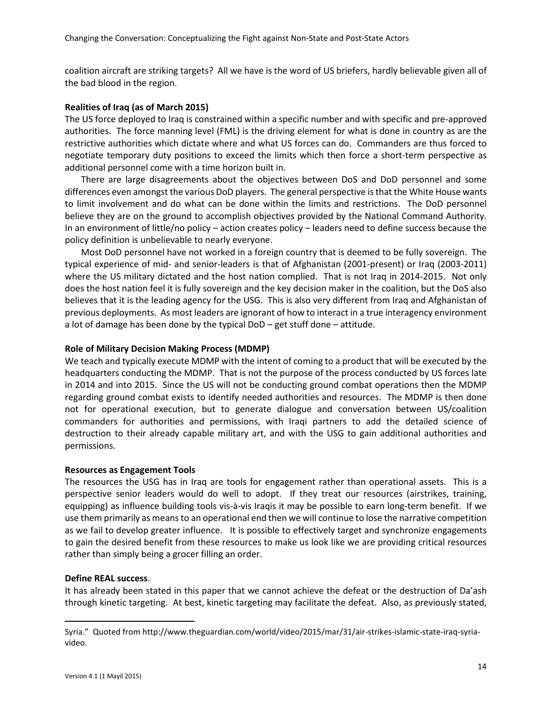coalition aircraft are striking targets? All we have is the word of US briefers, hardly believable given all of the bad blood in the region.

#### **Realities of Iraq (as of March 2015)**

The US force deployed to Iraq is constrained within a specific number and with specific and pre-approved authorities. The force manning level (FML) is the driving element for what is done in country as are the restrictive authorities which dictate where and what US forces can do. Commanders are thus forced to negotiate temporary duty positions to exceed the limits which then force a short-term perspective as additional personnel come with a time horizon built in.

There are large disagreements about the objectives between DoS and DoD personnel and some differences even amongst the various DoD players. The general perspective is that the White House wants to limit involvement and do what can be done within the limits and restrictions. The DoD personnel believe they are on the ground to accomplish objectives provided by the National Command Authority. In an environment of little/no policy – action creates policy – leaders need to define success because the policy definition is unbelievable to nearly everyone.

Most DoD personnel have not worked in a foreign country that is deemed to be fully sovereign. The typical experience of mid- and senior-leaders is that of Afghanistan (2001-present) or Iraq (2003-2011) where the US military dictated and the host nation complied. That is not Iraq in 2014-2015. Not only does the host nation feel it is fully sovereign and the key decision maker in the coalition, but the DoS also believes that it is the leading agency for the USG. This is also very different from Iraq and Afghanistan of previous deployments. As most leaders are ignorant of how to interact in a true interagency environment a lot of damage has been done by the typical DoD – get stuff done – attitude.

### **Role of Military Decision Making Process (MDMP)**

We teach and typically execute MDMP with the intent of coming to a product that will be executed by the headquarters conducting the MDMP. That is not the purpose of the process conducted by US forces late in 2014 and into 2015. Since the US will not be conducting ground combat operations then the MDMP regarding ground combat exists to identify needed authorities and resources. The MDMP is then done not for operational execution, but to generate dialogue and conversation between US/coalition commanders for authorities and permissions, with Iraqi partners to add the detailed science of destruction to their already capable military art, and with the USG to gain additional authorities and permissions.

#### **Resources as Engagement Tools**

The resources the USG has in Iraq are tools for engagement rather than operational assets. This is a perspective senior leaders would do well to adopt. If they treat our resources (airstrikes, training, equipping) as influence building tools vis-à-vis Iraqis it may be possible to earn long-term benefit. If we use them primarily as means to an operational end then we will continue to lose the narrative competition as we fail to develop greater influence. It is possible to effectively target and synchronize engagements to gain the desired benefit from these resources to make us look like we are providing critical resources rather than simply being a grocer filling an order.

#### **Define REAL success**.

It has already been stated in this paper that we cannot achieve the defeat or the destruction of Da'ash through kinetic targeting. At best, kinetic targeting may facilitate the defeat. Also, as previously stated,

Syria." Quoted from http://www.theguardian.com/world/video/2015/mar/31/air-strikes-islamic-state-iraq-syriavideo.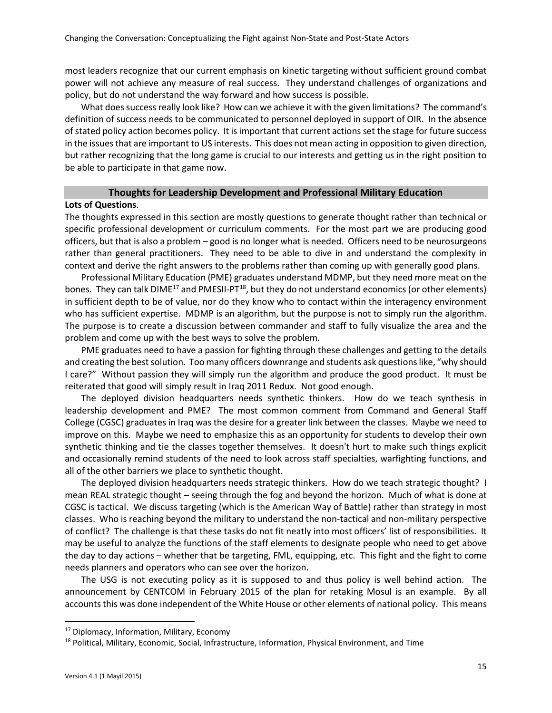most leaders recognize that our current emphasis on kinetic targeting without sufficient ground combat power will not achieve any measure of real success. They understand challenges of organizations and policy, but do not understand the way forward and how success is possible.

What does success really look like? How can we achieve it with the given limitations? The command's definition of success needs to be communicated to personnel deployed in support of OIR. In the absence of stated policy action becomes policy. It is important that current actions set the stage for future success in the issues that are important to US interests. This does not mean acting in opposition to given direction, but rather recognizing that the long game is crucial to our interests and getting us in the right position to be able to participate in that game now.

## **Thoughts for Leadership Development and Professional Military Education**

#### **Lots of Questions**.

The thoughts expressed in this section are mostly questions to generate thought rather than technical or specific professional development or curriculum comments. For the most part we are producing good officers, but that is also a problem – good is no longer what is needed. Officers need to be neurosurgeons rather than general practitioners. They need to be able to dive in and understand the complexity in context and derive the right answers to the problems rather than coming up with generally good plans.

Professional Military Education (PME) graduates understand MDMP, but they need more meat on the bones. They can talk DIME<sup>[17](#page-14-0)</sup> and PMESII-PT<sup>[18](#page-14-1)</sup>, but they do not understand economics (or other elements) in sufficient depth to be of value, nor do they know who to contact within the interagency environment who has sufficient expertise. MDMP is an algorithm, but the purpose is not to simply run the algorithm. The purpose is to create a discussion between commander and staff to fully visualize the area and the problem and come up with the best ways to solve the problem.

PME graduates need to have a passion for fighting through these challenges and getting to the details and creating the best solution. Too many officers downrange and students ask questions like, "why should I care?" Without passion they will simply run the algorithm and produce the good product. It must be reiterated that good will simply result in Iraq 2011 Redux. Not good enough.

The deployed division headquarters needs synthetic thinkers. How do we teach synthesis in leadership development and PME? The most common comment from Command and General Staff College (CGSC) graduates in Iraq was the desire for a greater link between the classes. Maybe we need to improve on this. Maybe we need to emphasize this as an opportunity for students to develop their own synthetic thinking and tie the classes together themselves. It doesn't hurt to make such things explicit and occasionally remind students of the need to look across staff specialties, warfighting functions, and all of the other barriers we place to synthetic thought.

The deployed division headquarters needs strategic thinkers. How do we teach strategic thought? I mean REAL strategic thought – seeing through the fog and beyond the horizon. Much of what is done at CGSC is tactical. We discuss targeting (which is the American Way of Battle) rather than strategy in most classes. Who is reaching beyond the military to understand the non-tactical and non-military perspective of conflict? The challenge is that these tasks do not fit neatly into most officers' list of responsibilities. It may be useful to analyze the functions of the staff elements to designate people who need to get above the day to day actions – whether that be targeting, FML, equipping, etc. This fight and the fight to come needs planners and operators who can see over the horizon.

The USG is not executing policy as it is supposed to and thus policy is well behind action. The announcement by CENTCOM in February 2015 of the plan for retaking Mosul is an example. By all accounts this was done independent of the White House or other elements of national policy. This means

<span id="page-14-1"></span><span id="page-14-0"></span><sup>&</sup>lt;sup>17</sup> Diplomacy, Information, Military, Economy<br><sup>18</sup> Political, Military, Economic, Social, Infrastructure, Information, Physical Environment, and Time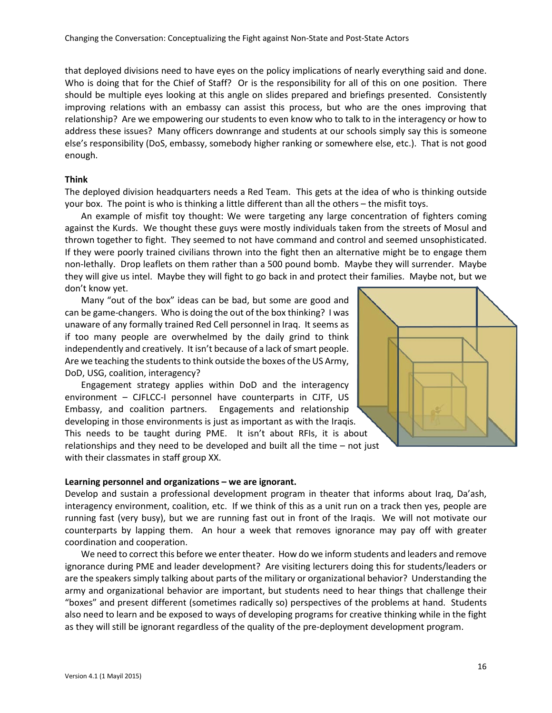that deployed divisions need to have eyes on the policy implications of nearly everything said and done. Who is doing that for the Chief of Staff? Or is the responsibility for all of this on one position. There should be multiple eyes looking at this angle on slides prepared and briefings presented. Consistently improving relations with an embassy can assist this process, but who are the ones improving that relationship? Are we empowering our students to even know who to talk to in the interagency or how to address these issues? Many officers downrange and students at our schools simply say this is someone else's responsibility (DoS, embassy, somebody higher ranking or somewhere else, etc.). That is not good enough.

### **Think**

The deployed division headquarters needs a Red Team. This gets at the idea of who is thinking outside your box. The point is who is thinking a little different than all the others – the misfit toys.

An example of misfit toy thought: We were targeting any large concentration of fighters coming against the Kurds. We thought these guys were mostly individuals taken from the streets of Mosul and thrown together to fight. They seemed to not have command and control and seemed unsophisticated. If they were poorly trained civilians thrown into the fight then an alternative might be to engage them non-lethally. Drop leaflets on them rather than a 500 pound bomb. Maybe they will surrender. Maybe they will give us intel. Maybe they will fight to go back in and protect their families. Maybe not, but we don't know yet.

Many "out of the box" ideas can be bad, but some are good and can be game-changers. Who is doing the out of the box thinking? I was unaware of any formally trained Red Cell personnel in Iraq. It seems as if too many people are overwhelmed by the daily grind to think independently and creatively. It isn't because of a lack of smart people. Are we teaching the students to think outside the boxes of the US Army, DoD, USG, coalition, interagency?

Engagement strategy applies within DoD and the interagency environment – CJFLCC-I personnel have counterparts in CJTF, US Embassy, and coalition partners. Engagements and relationship developing in those environments is just as important as with the Iraqis. This needs to be taught during PME. It isn't about RFIs, it is about relationships and they need to be developed and built all the time – not just with their classmates in staff group XX.



#### **Learning personnel and organizations – we are ignorant.**

Develop and sustain a professional development program in theater that informs about Iraq, Da'ash, interagency environment, coalition, etc. If we think of this as a unit run on a track then yes, people are running fast (very busy), but we are running fast out in front of the Iraqis. We will not motivate our counterparts by lapping them. An hour a week that removes ignorance may pay off with greater coordination and cooperation.

We need to correct this before we enter theater. How do we inform students and leaders and remove ignorance during PME and leader development? Are visiting lecturers doing this for students/leaders or are the speakers simply talking about parts of the military or organizational behavior? Understanding the army and organizational behavior are important, but students need to hear things that challenge their "boxes" and present different (sometimes radically so) perspectives of the problems at hand. Students also need to learn and be exposed to ways of developing programs for creative thinking while in the fight as they will still be ignorant regardless of the quality of the pre-deployment development program.